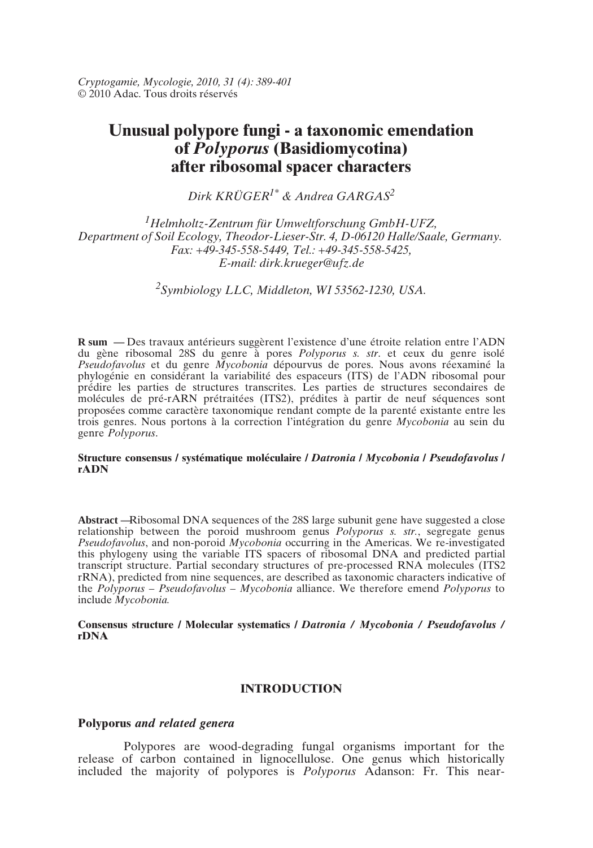*Cryptogamie, Mycologie, 2010, 31 (4): 389-401* © 2010 Adac. Tous droits réservés

# **Unusual polypore fungi - a taxonomic emendation of** *Polyporus* **(Basidiomycotina) after ribosomal spacer characters**

*Dirk KRÜGER1\* & Andrea GARGAS2*

*1Helmholtz-Zentrum für Umweltforschung GmbH-UFZ, Department of Soil Ecology, Theodor-Lieser-Str. 4, D-06120 Halle/Saale, Germany. Fax: +49-345-558-5449, Tel.: +49-345-558-5425, E-mail: dirk.krueger@ufz.de*

*2Symbiology LLC, Middleton, WI 53562-1230, USA.*

**R sum —** Des travaux antérieurs suggèrent l'existence d'une étroite relation entre l'ADN du gène ribosomal 28S du genre à pores *Polyporus s. str*. et ceux du genre isolé *Pseudofavolus* et du genre *Mycobonia* dépourvus de pores. Nous avons réexaminé la phylogénie en considérant la variabilité des espaceurs (ITS) de l'ADN ribosomal pour prédire les parties de structures transcrites. Les parties de structures secondaires de molécules de pré-rARN prétraitées (ITS2), prédites à partir de neuf séquences sont proposées comme caractère taxonomique rendant compte de la parenté existante entre les trois genres. Nous portons à la correction l'intégration du genre *Mycobonia* au sein du genre *Polyporus*.

### **Structure consensus / systématique moléculaire /** *Datronia* **/** *Mycobonia* **/** *Pseudofavolus* **/ rADN**

**Abstract —**Ribosomal DNA sequences of the 28S large subunit gene have suggested a close relationship between the poroid mushroom genus *Polyporus s. str.*, segregate genus *Pseudofavolus*, and non-poroid *Mycobonia* occurring in the Americas. We re-investigated this phylogeny using the variable ITS spacers of ribosomal DNA and predicted partial transcript structure. Partial secondary structures of pre-processed RNA molecules (ITS2 rRNA), predicted from nine sequences, are described as taxonomic characters indicative of the *Polyporus* – *Pseudofavolus* – *Mycobonia* alliance. We therefore emend *Polyporus* to include *Mycobonia.*

**Consensus structure / Molecular systematics /** *Datronia / Mycobonia / Pseudofavolus /* **rDNA**

# **INTRODUCTION**

# **Polyporus** *and related genera*

Polypores are wood-degrading fungal organisms important for the release of carbon contained in lignocellulose. One genus which historically included the majority of polypores is *Polyporus* Adanson: Fr. This near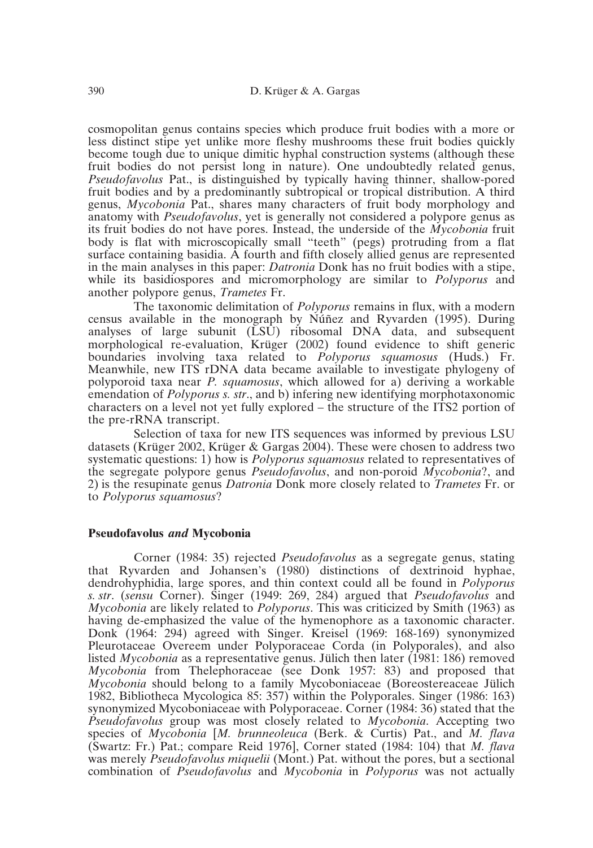cosmopolitan genus contains species which produce fruit bodies with a more or less distinct stipe yet unlike more fleshy mushrooms these fruit bodies quickly become tough due to unique dimitic hyphal construction systems (although these fruit bodies do not persist long in nature). One undoubtedly related genus, *Pseudofavolus* Pat., is distinguished by typically having thinner, shallow-pored fruit bodies and by a predominantly subtropical or tropical distribution. A third genus, *Mycobonia* Pat., shares many characters of fruit body morphology and anatomy with *Pseudofavolus*, yet is generally not considered a polypore genus as its fruit bodies do not have pores. Instead, the underside of the *Mycobonia* fruit body is flat with microscopically small "teeth" (pegs) protruding from a flat surface containing basidia. A fourth and fifth closely allied genus are represented in the main analyses in this paper: *Datronia* Donk has no fruit bodies with a stipe, while its basidiospores and micromorphology are similar to *Polyporus* and another polypore genus, *Trametes* Fr.

The taxonomic delimitation of *Polyporus* remains in flux, with a modern census available in the monograph by Núñez and Ryvarden (1995). During analyses of large subunit (LSU) ribosomal DNA data, and subsequent morphological re-evaluation, Krüger (2002) found evidence to shift generic boundaries involving taxa related to *Polyporus squamosus* (Huds.) Fr. Meanwhile, new ITS rDNA data became available to investigate phylogeny of polyporoid taxa near *P. squamosus*, which allowed for a) deriving a workable emendation of *Polyporus s. str*., and b) infering new identifying morphotaxonomic characters on a level not yet fully explored – the structure of the ITS2 portion of the pre-rRNA transcript.

Selection of taxa for new ITS sequences was informed by previous LSU datasets (Krüger 2002, Krüger & Gargas 2004). These were chosen to address two systematic questions: 1) how is *Polyporus squamosus* related to representatives of the segregate polypore genus *Pseudofavolus*, and non-poroid *Mycobonia*?, and 2) is the resupinate genus *Datronia* Donk more closely related to *Trametes* Fr. or to *Polyporus squamosus*?

### **Pseudofavolus** *and* **Mycobonia**

Corner (1984: 35) rejected *Pseudofavolus* as a segregate genus, stating that Ryvarden and Johansen's (1980) distinctions of dextrinoid hyphae, dendrohyphidia, large spores, and thin context could all be found in *Polyporus s. str*. (*sensu* Corner). Singer (1949: 269, 284) argued that *Pseudofavolus* and *Mycobonia* are likely related to *Polyporus*. This was criticized by Smith (1963) as having de-emphasized the value of the hymenophore as a taxonomic character. Donk (1964: 294) agreed with Singer. Kreisel (1969: 168-169) synonymized Pleurotaceae Overeem under Polyporaceae Corda (in Polyporales), and also listed *Mycobonia* as a representative genus. Jülich then later (1981: 186) removed *Mycobonia* from Thelephoraceae (see Donk 1957: 83) and proposed that *Mycobonia* should belong to a family Mycoboniaceae (Boreostereaceae Jülich 1982, Bibliotheca Mycologica 85: 357) within the Polyporales. Singer (1986: 163) synonymized Mycoboniaceae with Polyporaceae. Corner (1984: 36) stated that the *Pseudofavolus* group was most closely related to *Mycobonia*. Accepting two species of *Mycobonia* [*M. brunneoleuca* (Berk. & Curtis) Pat., and *M. flava* (Swartz: Fr.) Pat.; compare Reid 1976], Corner stated (1984: 104) that *M. flava* was merely *Pseudofavolus miquelii* (Mont.) Pat. without the pores, but a sectional combination of *Pseudofavolus* and *Mycobonia* in *Polyporus* was not actually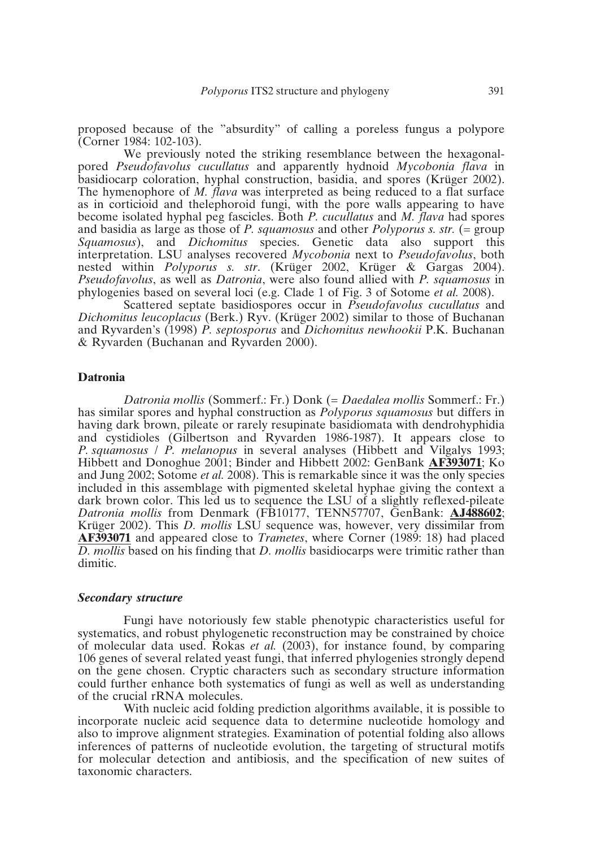proposed because of the "absurdity" of calling a poreless fungus a polypore (Corner 1984: 102-103).

We previously noted the striking resemblance between the hexagonalpored *Pseudofavolus cucullatus* and apparently hydnoid *Mycobonia flava* in basidiocarp coloration, hyphal construction, basidia, and spores (Krüger 2002). The hymenophore of *M. flava* was interpreted as being reduced to a flat surface as in corticioid and thelephoroid fungi, with the pore walls appearing to have become isolated hyphal peg fascicles. Both *P. cucullatus* and *M. flava* had spores and basidia as large as those of *P. squamosus* and other *Polyporus s. str.* (= group *Squamosus*), and *Dichomitus* species. Genetic data also support this interpretation. LSU analyses recovered *Mycobonia* next to *Pseudofavolus*, both nested within *Polyporus s. str*. (Krüger 2002, Krüger & Gargas 2004). *Pseudofavolus*, as well as *Datronia*, were also found allied with *P. squamosus* in phylogenies based on several loci (e.g. Clade 1 of Fig. 3 of Sotome *et al.* 2008).

Scattered septate basidiospores occur in *Pseudofavolus cucullatus* and *Dichomitus leucoplacus* (Berk.) Ryv. (Krüger 2002) similar to those of Buchanan and Ryvarden's (1998) *P. septosporus* and *Dichomitus newhookii* P.K. Buchanan & Ryvarden (Buchanan and Ryvarden 2000).

### **Datronia**

*Datronia mollis* (Sommerf.: Fr.) Donk (= *Daedalea mollis* Sommerf.: Fr.) has similar spores and hyphal construction as *Polyporus squamosus* but differs in having dark brown, pileate or rarely resupinate basidiomata with dendrohyphidia and cystidioles (Gilbertson and Ryvarden 1986-1987). It appears close to *P. squamosus* / *P. melanopus* in several analyses (Hibbett and Vilgalys 1993; Hibbett and Donoghue 2001; Binder and Hibbett 2002: GenBank **AF393071**; Ko and Jung 2002; Sotome *et al.* 2008). This is remarkable since it was the only species included in this assemblage with pigmented skeletal hyphae giving the context a dark brown color. This led us to sequence the LSU of a slightly reflexed-pileate *Datronia mollis* from Denmark (FB10177, TENN57707, GenBank: **AJ488602**; Krüger 2002). This *D. mollis* LSU sequence was, however, very dissimilar from **AF393071** and appeared close to *Trametes*, where Corner (1989: 18) had placed *D. mollis* based on his finding that *D. mollis* basidiocarps were trimitic rather than dimitic.

### *Secondary structure*

Fungi have notoriously few stable phenotypic characteristics useful for systematics, and robust phylogenetic reconstruction may be constrained by choice of molecular data used. Rokas *et al.* (2003), for instance found, by comparing 106 genes of several related yeast fungi, that inferred phylogenies strongly depend on the gene chosen. Cryptic characters such as secondary structure information could further enhance both systematics of fungi as well as well as understanding of the crucial rRNA molecules.

With nucleic acid folding prediction algorithms available, it is possible to incorporate nucleic acid sequence data to determine nucleotide homology and also to improve alignment strategies. Examination of potential folding also allows inferences of patterns of nucleotide evolution, the targeting of structural motifs for molecular detection and antibiosis, and the specification of new suites of taxonomic characters.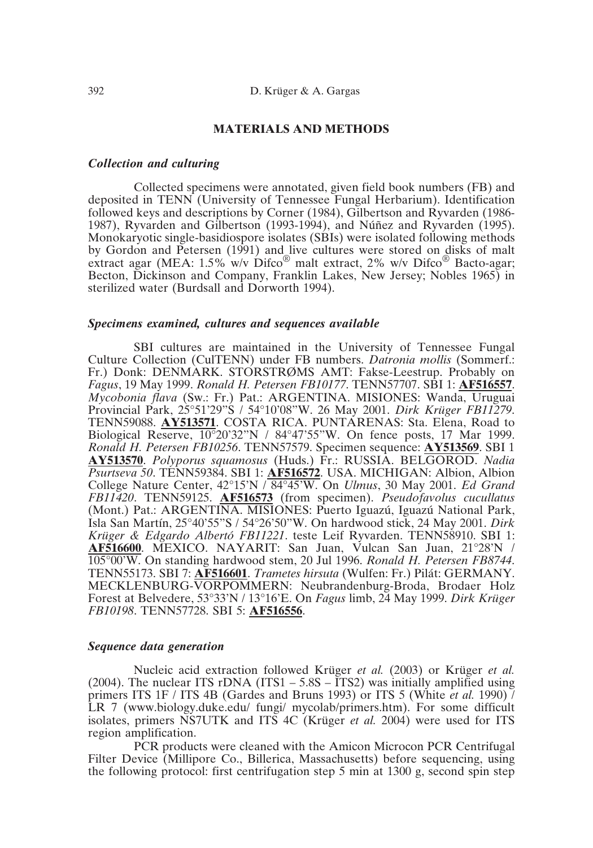# **MATERIALS AND METHODS**

# *Collection and culturing*

Collected specimens were annotated, given field book numbers (FB) and deposited in TENN (University of Tennessee Fungal Herbarium). Identification followed keys and descriptions by Corner (1984), Gilbertson and Ryvarden (1986- 1987), Ryvarden and Gilbertson (1993-1994), and Núñez and Ryvarden (1995). Monokaryotic single-basidiospore isolates (SBIs) were isolated following methods by Gordon and Petersen (1991) and live cultures were stored on disks of malt extract agar (MEA:  $1.5\%$  w/v  $\text{Difco}^{\circledR}$  malt extract, 2% w/v  $\text{Difco}^{\circledR}$  Bacto-agar; Becton, Dickinson and Company, Franklin Lakes, New Jersey; Nobles 1965) in sterilized water (Burdsall and Dorworth 1994).

### *Specimens examined, cultures and sequences available*

SBI cultures are maintained in the University of Tennessee Fungal Culture Collection (CulTENN) under FB numbers. *Datronia mollis* (Sommerf.: Fr.) Donk: DENMARK. STORSTRØMS AMT: Fakse-Leestrup. Probably on *Fagus*, 19 May 1999. *Ronald H. Petersen FB10177*. TENN57707. SBI 1: **AF516557**. *Mycobonia flava* (Sw.: Fr.) Pat.: ARGENTINA. MISIONES: Wanda, Uruguai Provincial Park, 25°51'29"S / 54°10'08"W. 26 May 2001. *Dirk Krüger FB11279*. TENN59088. **AY513571**. COSTA RICA. PUNTARENAS: Sta. Elena, Road to Biological Reserve, 10°20'32"N / 84°47'55"W. On fence posts, 17 Mar 1999. *Ronald H. Petersen FB10256*. TENN57579. Specimen sequence: **AY513569**. SBI 1 **AY513570**. *Polyporus squamosus* (Huds.) Fr.: RUSSIA. BELGOROD. *Nadia Psurtseva 50*. TENN59384. SBI 1: **AF516572**. USA. MICHIGAN: Albion, Albion College Nature Center, 42°15'N / 84°45'W. On *Ulmus*, 30 May 2001. *Ed Grand FB11420*. TENN59125. **AF516573** (from specimen). *Pseudofavolus cucullatus* (Mont.) Pat.: ARGENTINA. MISIONES: Puerto Iguazú, Iguazú National Park, Isla San Martín, 25°40'55"S / 54°26'50"W. On hardwood stick, 24 May 2001. *Dirk Krüger & Edgardo Albertó FB11221*. teste Leif Ryvarden. TENN58910. SBI 1: **AF516600**. MEXICO. NAYARIT: San Juan, Vulcan San Juan, 21°28'N / 105°00'W. On standing hardwood stem, 20 Jul 1996. *Ronald H. Petersen FB8744*. TENN55173. SBI 7: **AF516601**. *Trametes hirsuta* (Wulfen: Fr.) Pilát: GERMANY. MECKLENBURG-VORPOMMERN: Neubrandenburg-Broda, Brodaer Holz Forest at Belvedere, 53°33'N / 13°16'E. On *Fagus* limb, 24 May 1999. *Dirk Krüger FB10198*. TENN57728. SBI 5: **AF516556**.

### *Sequence data generation*

Nucleic acid extraction followed Krüger *et al.* (2003) or Krüger *et al.* (2004). The nuclear ITS rDNA (ITS1 –  $5.8S - ITS2$ ) was initially amplified using primers ITS 1F / ITS 4B (Gardes and Bruns 1993) or ITS 5 (White *et al.* 1990)  $\tilde{I}$ LR 7 (www.biology.duke.edu/ fungi/ mycolab/primers.htm). For some difficult isolates, primers NS7UTK and ITS 4C (Krüger *et al.* 2004) were used for ITS region amplification.

PCR products were cleaned with the Amicon Microcon PCR Centrifugal Filter Device (Millipore Co., Billerica, Massachusetts) before sequencing, using the following protocol: first centrifugation step 5 min at 1300 g, second spin step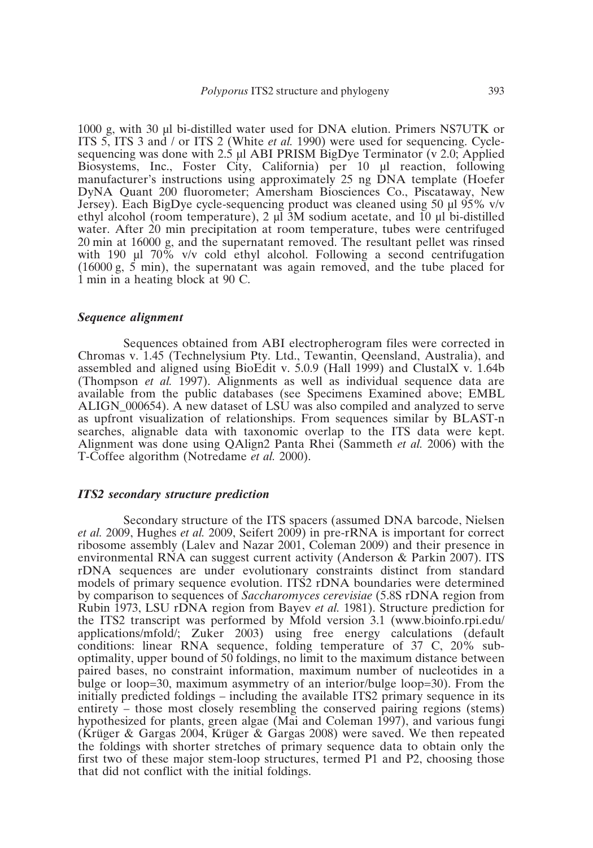1000 g, with 30 µl bi-distilled water used for DNA elution. Primers NS7UTK or ITS 5, ITS 3 and / or ITS 2 (White *et al.* 1990) were used for sequencing. Cyclesequencing was done with  $2.\dot{S}$  µl ABI PRISM BigDye Terminator (v 2.0; Applied Biosystems, Inc., Foster City, California) per 10 µl reaction, following manufacturer's instructions using approximately 25 ng DNA template (Hoefer DyNA Quant 200 fluorometer; Amersham Biosciences Co., Piscataway, New Jersey). Each BigDye cycle-sequencing product was cleaned using 50 µl 95% v/v ethyl alcohol (room temperature), 2 µl 3M sodium acetate, and 10 µl bi-distilled water. After 20 min precipitation at room temperature, tubes were centrifuged 20 min at 16000 g, and the supernatant removed. The resultant pellet was rinsed with 190  $\mu$ l 70% v/v cold ethyl alcohol. Following a second centrifugation  $(16000 \text{ g}, 5 \text{ min})$ , the supernatant was again removed, and the tube placed for 1 min in a heating block at 90 C.

### *Sequence alignment*

Sequences obtained from ABI electropherogram files were corrected in Chromas v. 1.45 (Technelysium Pty. Ltd., Tewantin, Qeensland, Australia), and assembled and aligned using BioEdit v. 5.0.9 (Hall 1999) and ClustalX v. 1.64b (Thompson *et al.* 1997). Alignments as well as individual sequence data are available from the public databases (see Specimens Examined above; EMBL ALIGN\_000654). A new dataset of LSU was also compiled and analyzed to serve as upfront visualization of relationships. From sequences similar by BLAST-n searches, alignable data with taxonomic overlap to the ITS data were kept. Alignment was done using QAlign2 Panta Rhei (Sammeth *et al.* 2006) with the T-Coffee algorithm (Notredame *et al.* 2000).

# *ITS2 secondary structure prediction*

Secondary structure of the ITS spacers (assumed DNA barcode, Nielsen *et al.* 2009, Hughes *et al.* 2009, Seifert 2009) in pre-rRNA is important for correct ribosome assembly (Lalev and Nazar 2001, Coleman 2009) and their presence in environmental RNA can suggest current activity (Anderson & Parkin 2007). ITS rDNA sequences are under evolutionary constraints distinct from standard models of primary sequence evolution. ITS2 rDNA boundaries were determined by comparison to sequences of *Saccharomyces cerevisiae* (5.8S rDNA region from Rubin 1973, LSU rDNA region from Bayev *et al.* 1981). Structure prediction for the ITS2 transcript was performed by Mfold version 3.1 (www.bioinfo.rpi.edu/ applications/mfold/; Zuker 2003) using free energy calculations (default conditions: linear RNA sequence, folding temperature of 37 C, 20% suboptimality, upper bound of 50 foldings, no limit to the maximum distance between paired bases, no constraint information, maximum number of nucleotides in a bulge or loop=30, maximum asymmetry of an interior/bulge loop=30). From the initially predicted foldings – including the available ITS2 primary sequence in its entirety – those most closely resembling the conserved pairing regions (stems) hypothesized for plants, green algae (Mai and Coleman 1997), and various fungi (Krüger & Gargas 2004, Krüger & Gargas 2008) were saved. We then repeated the foldings with shorter stretches of primary sequence data to obtain only the first two of these major stem-loop structures, termed P1 and P2, choosing those that did not conflict with the initial foldings.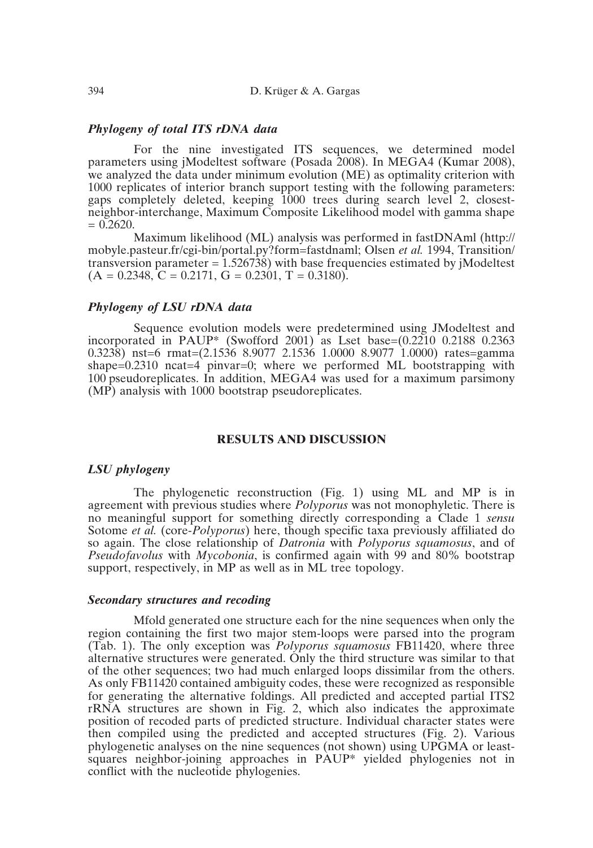# *Phylogeny of total ITS rDNA data*

For the nine investigated ITS sequences, we determined model parameters using jModeltest software (Posada 2008). In MEGA4 (Kumar 2008), we analyzed the data under minimum evolution (ME) as optimality criterion with 1000 replicates of interior branch support testing with the following parameters: gaps completely deleted, keeping 1000 trees during search level 2, closestneighbor-interchange, Maximum Composite Likelihood model with gamma shape  $= 0.2620.$ 

Maximum likelihood (ML) analysis was performed in fastDNAml (http:// mobyle.pasteur.fr/cgi-bin/portal.py?form=fastdnaml; Olsen *et al.* 1994, Transition/ transversion parameter  $= 1.526738$ ) with base frequencies estimated by jModeltest  $(A = 0.2348, C = 0.2171, G = 0.2301, T = 0.3180).$ 

# *Phylogeny of LSU rDNA data*

Sequence evolution models were predetermined using JModeltest and incorporated in PAUP\* (Swofford 2001) as Lset base= $(0.2210 \t0.2188 \t0.2363$ 0.3238) nst=6 rmat=(2.1536 8.9077 2.1536 1.0000 8.9077 1.0000) rates=gamma shape= $0.2310$  ncat=4 pinvar= $0$ ; where we performed ML bootstrapping with  $100$  pseudoreplicates. In addition, MEGA4 was used for a maximum parsimony (MP) analysis with 1000 bootstrap pseudoreplicates.

# **RESULTS AND DISCUSSION**

### *LSU phylogeny*

The phylogenetic reconstruction (Fig. 1) using ML and MP is in agreement with previous studies where *Polyporus* was not monophyletic. There is no meaningful support for something directly corresponding a Clade 1 *sensu* Sotome *et al.* (core-*Polyporus*) here, though specific taxa previously affiliated do so again. The close relationship of *Datronia* with *Polyporus squamosus*, and of *Pseudofavolus* with *Mycobonia*, is confirmed again with 99 and 80% bootstrap support, respectively, in MP as well as in ML tree topology.

### *Secondary structures and recoding*

Mfold generated one structure each for the nine sequences when only the region containing the first two major stem-loops were parsed into the program (Tab. 1). The only exception was *Polyporus squamosus* FB11420, where three alternative structures were generated. Only the third structure was similar to that of the other sequences; two had much enlarged loops dissimilar from the others. As only FB11420 contained ambiguity codes, these were recognized as responsible for generating the alternative foldings. All predicted and accepted partial ITS2 rRNA structures are shown in Fig. 2, which also indicates the approximate position of recoded parts of predicted structure. Individual character states were then compiled using the predicted and accepted structures (Fig. 2). Various phylogenetic analyses on the nine sequences (not shown) using UPGMA or leastsquares neighbor-joining approaches in PAUP\* yielded phylogenies not in conflict with the nucleotide phylogenies.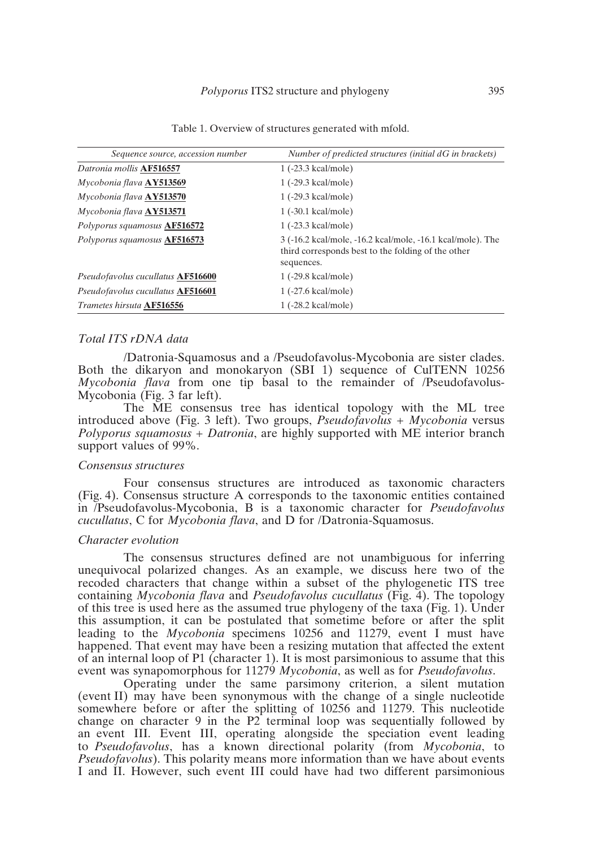| Sequence source, accession number | Number of predicted structures (initial dG in brackets)                                                                        |
|-----------------------------------|--------------------------------------------------------------------------------------------------------------------------------|
| Datronia mollis AF516557          | 1 (-23.3 kcal/mole)                                                                                                            |
| Mycobonia flava AY513569          | 1 (-29.3 kcal/mole)                                                                                                            |
| Mycobonia flava AY513570          | 1 (-29.3 kcal/mole)                                                                                                            |
| Mycobonia flava AY513571          | 1 (-30.1 kcal/mole)                                                                                                            |
| Polyporus squamosus AF516572      | 1 (-23.3 kcal/mole)                                                                                                            |
| Polyporus squamosus AF516573      | 3 (-16.2 kcal/mole, -16.2 kcal/mole, -16.1 kcal/mole). The<br>third corresponds best to the folding of the other<br>sequences. |
| Pseudofavolus cucullatus AF516600 | 1 (-29.8 kcal/mole)                                                                                                            |
| Pseudofavolus cucullatus AF516601 | 1 (-27.6 kcal/mole)                                                                                                            |
| Trametes hirsuta AF516556         | 1 (-28.2 kcal/mole)                                                                                                            |

Table 1. Overview of structures generated with mfold.

# *Total ITS rDNA data*

/Datronia-Squamosus and a /Pseudofavolus-Mycobonia are sister clades. Both the dikaryon and monokaryon (SBI 1) sequence of CulTENN 10256 *Mycobonia flava* from one tip basal to the remainder of /Pseudofavolus-Mycobonia (Fig. 3 far left).

The ME consensus tree has identical topology with the ML tree introduced above (Fig. 3 left). Two groups, *Pseudofavolus* + *Mycobonia* versus *Polyporus squamosus* + *Datronia*, are highly supported with ME interior branch support values of 99%.

## *Consensus structures*

Four consensus structures are introduced as taxonomic characters (Fig. 4). Consensus structure A corresponds to the taxonomic entities contained in /Pseudofavolus-Mycobonia, B is a taxonomic character for *Pseudofavolus cucullatus*, C for *Mycobonia flava*, and D for /Datronia-Squamosus.

# *Character evolution*

The consensus structures defined are not unambiguous for inferring unequivocal polarized changes. As an example, we discuss here two of the recoded characters that change within a subset of the phylogenetic ITS tree containing *Mycobonia flava* and *Pseudofavolus cucullatus* (Fig. 4). The topology of this tree is used here as the assumed true phylogeny of the taxa (Fig. 1). Under this assumption, it can be postulated that sometime before or after the split leading to the *Mycobonia* specimens 10256 and 11279, event I must have happened. That event may have been a resizing mutation that affected the extent of an internal loop of P1 (character 1). It is most parsimonious to assume that this event was synapomorphous for 11279 *Mycobonia*, as well as for *Pseudofavolus*.

Operating under the same parsimony criterion, a silent mutation (event II) may have been synonymous with the change of a single nucleotide somewhere before or after the splitting of 10256 and 11279. This nucleotide change on character 9 in the P2 terminal loop was sequentially followed by an event III. Event III, operating alongside the speciation event leading to *Pseudofavolus*, has a known directional polarity (from *Mycobonia*, to *Pseudofavolus*). This polarity means more information than we have about events I and II. However, such event III could have had two different parsimonious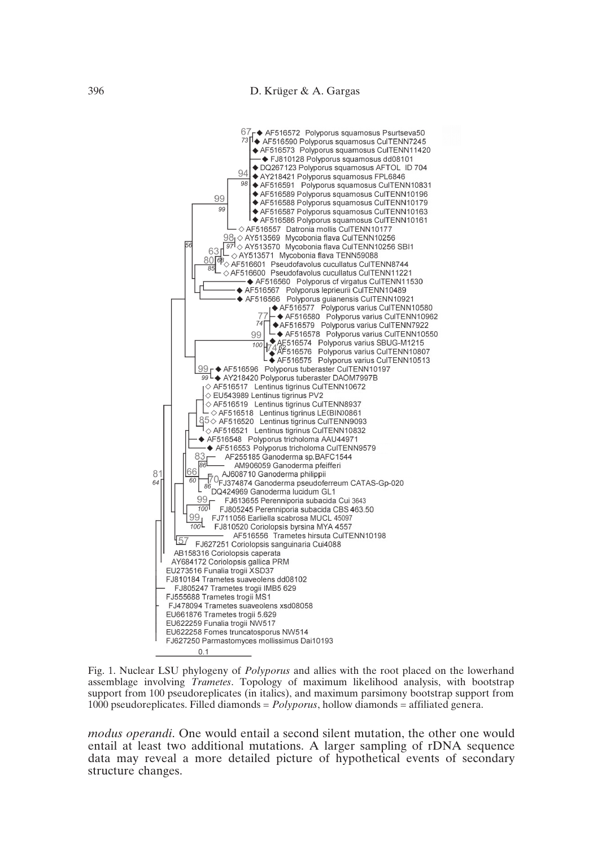

Fig. 1. Nuclear LSU phylogeny of *Polyporus* and allies with the root placed on the lowerhand assemblage involving *Trametes*. Topology of maximum likelihood analysis, with bootstrap support from 100 pseudoreplicates (in italics), and maximum parsimony bootstrap support from 1000 pseudoreplicates. Filled diamonds = *Polyporus*, hollow diamonds = affiliated genera.

*modus operandi*. One would entail a second silent mutation, the other one would entail at least two additional mutations. A larger sampling of rDNA sequence data may reveal a more detailed picture of hypothetical events of secondary structure changes.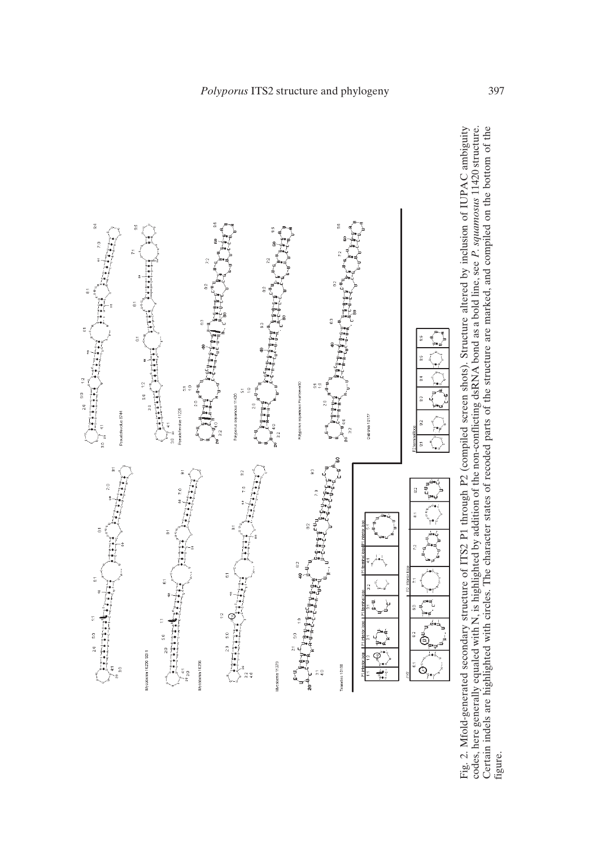

Fig. 2. Mfold-generated secondary structure of ITS2 P1 through P2 (compiled screen shots). Structure altered by inclusion of IUPAC ambiguity codes, here generally equaled with N, is highlighted by addition of the non-confl Fig. 2. Mfold-generated secondary structure of ITS2 P1 through P2 (compiled screen shots). Structure altered by inclusion of IUPAC ambiguity<br>codes, here generally equaled with N, is highlighted by addition of the non-confl figure.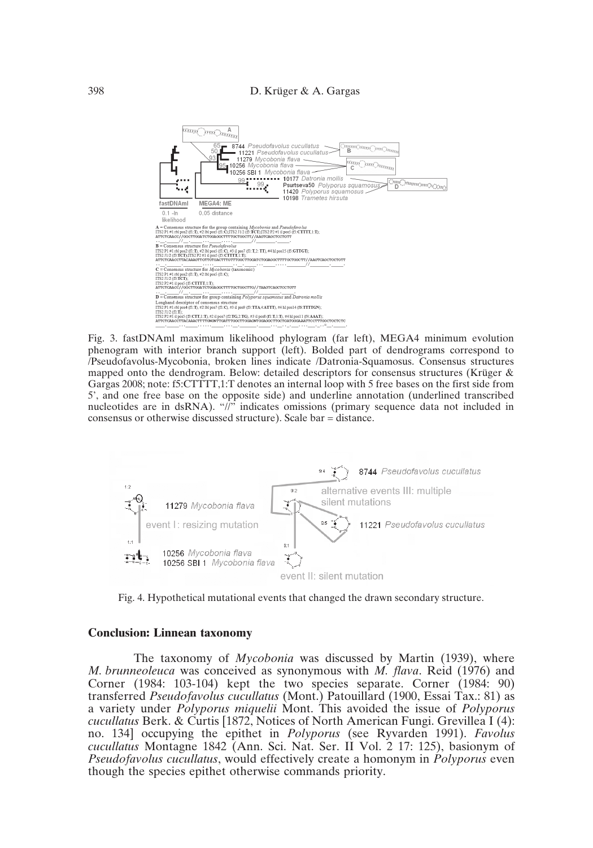

Fig. 3. fastDNAml maximum likelihood phylogram (far left), MEGA4 minimum evolution phenogram with interior branch support (left). Bolded part of dendrograms correspond to /Pseudofavolus-Mycobonia, broken lines indicate /Datronia-Squamosus. Consensus structures mapped onto the dendrogram. Below: detailed descriptors for consensus structures (Krüger & Gargas 2008; note: f5:CTTTT,1:T denotes an internal loop with 5 free bases on the first side from 5', and one free base on the opposite side) and underline annotation (underlined transcribed nucleotides are in dsRNA). "//" indicates omissions (primary sequence data not included in consensus or otherwise discussed structure). Scale bar = distance.



Fig. 4. Hypothetical mutational events that changed the drawn secondary structure.

#### **Conclusion: Linnean taxonomy**

The taxonomy of *Mycobonia* was discussed by Martin (1939), where *M. brunneoleuca* was conceived as synonymous with *M. flava*. Reid (1976) and Corner (1984: 103-104) kept the two species separate. Corner (1984: 90) transferred *Pseudofavolus cucullatus* (Mont.) Patouillard (1900, Essai Tax.: 81) as a variety under *Polyporus miquelii* Mont. This avoided the issue of *Polyporus cucullatus* Berk. & Curtis [1872, Notices of North American Fungi. Grevillea I (4): no. 134] occupying the epithet in *Polyporus* (see Ryvarden 1991). *Favolus cucullatus* Montagne 1842 (Ann. Sci. Nat. Ser. II Vol. 2 17: 125), basionym of *Pseudofavolus cucullatus*, would effectively create a homonym in *Polyporus* even though the species epithet otherwise commands priority.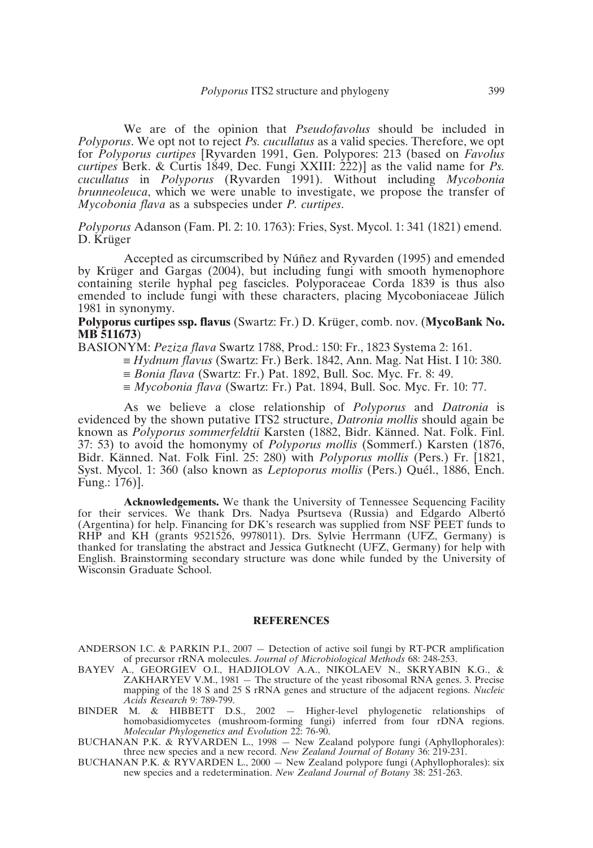We are of the opinion that *Pseudofavolus* should be included in *Polyporus*. We opt not to reject *Ps. cucullatus* as a valid species. Therefore, we opt for *Polyporus curtipes* [Ryvarden 1991, Gen. Polypores: 213 (based on *Favolus curtipes* Berk. & Curtis 1849, Dec. Fungi XXIII: 222)] as the valid name for *Ps. cucullatus* in *Polyporus* (Ryvarden 1991). Without including *Mycobonia brunneoleuca*, which we were unable to investigate, we propose the transfer of *Mycobonia flava* as a subspecies under *P. curtipes*.

*Polyporus* Adanson (Fam. Pl. 2: 10. 1763): Fries, Syst. Mycol. 1: 341 (1821) emend. D. Krüger

Accepted as circumscribed by Núñez and Ryvarden (1995) and emended by Krüger and Gargas (2004), but including fungi with smooth hymenophore containing sterile hyphal peg fascicles. Polyporaceae Corda 1839 is thus also emended to include fungi with these characters, placing Mycoboniaceae Jülich 1981 in synonymy.

### **Polyporus curtipes ssp. flavus** (Swartz: Fr.) D. Krüger, comb. nov. (**MycoBank No. MB 511673**)

- BASIONYM: *Peziza flava* Swartz 1788, Prod.: 150: Fr., 1823 Systema 2: 161.
	- ≡ *Hydnum flavus* (Swartz: Fr.) Berk. 1842, Ann. Mag. Nat Hist. I 10: 380.
	- ≡ *Bonia flava* (Swartz: Fr.) Pat. 1892, Bull. Soc. Myc. Fr. 8: 49.
	- ≡ *Mycobonia flava* (Swartz: Fr.) Pat. 1894, Bull. Soc. Myc. Fr. 10: 77.

As we believe a close relationship of *Polyporus* and *Datronia* is evidenced by the shown putative ITS2 structure, *Datronia mollis* should again be known as *Polyporus sommerfeldtii* Karsten (1882, Bidr. Känned. Nat. Folk. Finl. 37: 53) to avoid the homonymy of *Polyporus mollis* (Sommerf.) Karsten (1876, Bidr. Känned. Nat. Folk Finl. 25: 280) with *Polyporus mollis* (Pers.) Fr. [1821, Syst. Mycol. 1: 360 (also known as *Leptoporus mollis* (Pers.) Quél., 1886, Ench. Fung.: 176)].

**Acknowledgements.** We thank the University of Tennessee Sequencing Facility for their services. We thank Drs. Nadya Psurtseva (Russia) and Edgardo Albertó (Argentina) for help. Financing for DK's research was supplied from NSF PEET funds to RHP and KH (grants 9521526, 9978011). Drs. Sylvie Herrmann (UFZ, Germany) is thanked for translating the abstract and Jessica Gutknecht (UFZ, Germany) for help with English. Brainstorming secondary structure was done while funded by the University of Wisconsin Graduate School.

#### **REFERENCES**

ANDERSON I.C. & PARKIN P.I., 2007 — Detection of active soil fungi by RT-PCR amplification of precursor rRNA molecules. *Journal of Microbiological Methods* 68: 248-253.

- BAYEV A., GEORGIEV O.I., HADJIOLOV A.A., NIKOLAEV N., SKRYABIN K.G., & ZAKHARYEV V.M., 1981 — The structure of the yeast ribosomal RNA genes. 3. Precise mapping of the 18 S and 25 S rRNA genes and structure of the adjacent regions. *Nucleic Acids Research* 9: 789-799.
- BINDER M. & HIBBETT D.S., 2002 Higher-level phylogenetic relationships of homobasidiomycetes (mushroom-forming fungi) inferred from four rDNA regions. *Molecular Phylogenetics and Evolution* 22: 76-90.

BUCHANAN P.K. & RYVARDEN L., 1998 — New Zealand polypore fungi (Aphyllophorales): three new species and a new record. *New Zealand Journal of Botany* 36: 219-231.

BUCHANAN P.K. & RYVARDEN L., 2000 — New Zealand polypore fungi (Aphyllophorales): six new species and a redetermination. *New Zealand Journal of Botany* 38: 251-263.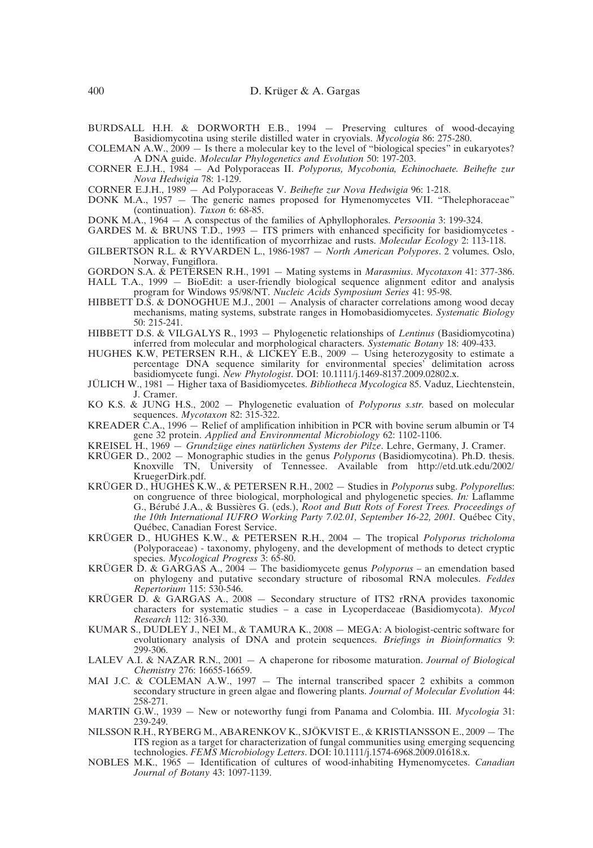BURDSALL H.H. & DORWORTH E.B., 1994 — Preserving cultures of wood-decaying Basidiomycotina using sterile distilled water in cryovials. *Mycologia* 86: 275-280.

COLEMAN A.W., 2009 — Is there a molecular key to the level of "biological species" in eukaryotes? A DNA guide. *Molecular Phylogenetics and Evolution* 50: 197-203.

- CORNER E.J.H., 1984 Ad Polyporaceas II. *Polyporus, Mycobonia, Echinochaete. Beihefte zur Nova Hedwigia* 78: 1-129.
- CORNER E.J.H., 1989 Ad Polyporaceas V. *Beihefte zur Nova Hedwigia* 96: 1-218.
- DONK M.A., 1957 The generic names proposed for Hymenomycetes VII. "Thelephoraceae" (continuation). *Taxon* 6: 68-85.
- DONK M.A., 1964 A conspectus of the families of Aphyllophorales. *Persoonia* 3: 199-324.
- GARDES M. & BRUNS T.D., 1993 ITS primers with enhanced specificity for basidiomycetes application to the identification of mycorrhizae and rusts. *Molecular Ecology* 2: 113-118.
- GILBERTSON R.L. & RYVARDEN L., 1986-1987 *North American Polypores*. 2 volumes. Oslo, Norway, Fungiflora.
- GORDON S.A. & PETERSEN R.H., 1991 Mating systems in *Marasmius*. *Mycotaxon* 41: 377-386.
- HALL T.A., 1999 BioEdit: a user-friendly biological sequence alignment editor and analysis program for Windows 95/98/NT. *Nucleic Acids Symposium Series* 41: 95-98.
- HIBBETT D.S. & DONOGHUE M.J., 2001 Analysis of character correlations among wood decay mechanisms, mating systems, substrate ranges in Homobasidiomycetes. *Systematic Biology* 50: 215-241.
- HIBBETT D.S. & VILGALYS R., 1993 Phylogenetic relationships of *Lentinus* (Basidiomycotina) inferred from molecular and morphological characters. *Systematic Botany* 18: 409-433.
- HUGHES K.W, PETERSEN R.H., & LICKEY E.B., 2009 Using heterozygosity to estimate a percentage DNA sequence similarity for environmental species' delimitation across basidiomycete fungi. *New Phytologist*. DOI: 10.1111/j.1469-8137.2009.02802.x.
- JÜLICH W., 1981 Higher taxa of Basidiomycetes. *Bibliotheca Mycologica* 85. Vaduz, Liechtenstein, J. Cramer.
- KO K.S. & JUNG H.S., 2002 Phylogenetic evaluation of *Polyporus s.str.* based on molecular sequences. *Mycotaxon* 82: 315-322.
- KREADER C.A., 1996 Relief of amplification inhibition in PCR with bovine serum albumin or T4 gene 32 protein. *Applied and Environmental Microbiology* 62: 1102-1106.
- KREISEL H., 1969 *Grundzüge eines natürlichen Systems der Pilze*. Lehre, Germany, J. Cramer.
- KRÜGER D., 2002 Monographic studies in the genus *Polyporus* (Basidiomycotina). Ph.D. thesis. Knoxville TN, University of Tennessee. Available from http://etd.utk.edu/2002/ KruegerDirk.pdf.
- KRÜGER D., HUGHES K.W., & PETERSEN R.H., 2002 Studies in *Polyporus* subg. *Polyporellu*s: on congruence of three biological, morphological and phylogenetic species. *In:* Laflamme G., Bérubé J.A., & Bussières G. (eds.), *Root and Butt Rots of Forest Trees. Proceedings of the 10th International IUFRO Working Party 7.02.01, September 16-22, 2001.* Québec City, Québec, Canadian Forest Service.
- KRÜGER D., HUGHES K.W., & PETERSEN R.H., 2004 The tropical *Polyporus tricholoma* (Polyporaceae) - taxonomy, phylogeny, and the development of methods to detect cryptic species. *Mycological Progress* 3: 65-80.
- KRÜGER D. & GARGAS A., 2004 The basidiomycete genus *Polyporus* an emendation based on phylogeny and putative secondary structure of ribosomal RNA molecules. *Feddes Repertorium* 115: 530-546.
- KRÜGER D. & GARGAS A., 2008 Secondary structure of ITS2 rRNA provides taxonomic characters for systematic studies – a case in Lycoperdaceae (Basidiomycota). *Mycol Research* 112: 316-330.
- KUMAR S., DUDLEY J., NEI M., & TAMURA K., 2008 MEGA: A biologist-centric software for evolutionary analysis of DNA and protein sequences. *Briefings in Bioinformatics* 9: 299-306.
- LALEV A.I. & NAZAR R.N., 2001 A chaperone for ribosome maturation. *Journal of Biological Chemistry* 276: 16655-16659.
- MAI J.C. & COLEMAN A.W., 1997  $-$  The internal transcribed spacer 2 exhibits a common secondary structure in green algae and flowering plants. *Journal of Molecular Evolution* 44: 258-271.
- MARTIN G.W., 1939 New or noteworthy fungi from Panama and Colombia. III. *Mycologia* 31: 239-249.
- NILSSON R.H., RYBERG M., ABARENKOV K., SJÖKVIST E., & KRISTIANSSON E., 2009 The ITS region as a target for characterization of fungal communities using emerging sequencing technologies. FEMS Microbiology Letters. DOI: 10.1111/j.1574-6968.2009.01618.x.
- NOBLES M.K., 1965 Identification of cultures of wood-inhabiting Hymenomycetes. *Canadian Journal of Botany* 43: 1097-1139.